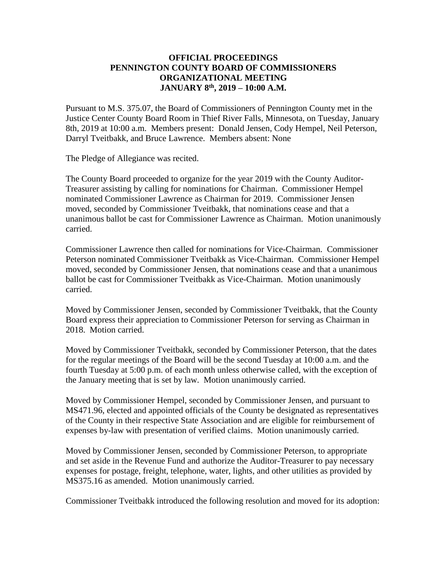### **OFFICIAL PROCEEDINGS PENNINGTON COUNTY BOARD OF COMMISSIONERS ORGANIZATIONAL MEETING JANUARY 8 th , 2019 – 10:00 A.M.**

Pursuant to M.S. 375.07, the Board of Commissioners of Pennington County met in the Justice Center County Board Room in Thief River Falls, Minnesota, on Tuesday, January 8th, 2019 at 10:00 a.m. Members present: Donald Jensen, Cody Hempel, Neil Peterson, Darryl Tveitbakk, and Bruce Lawrence. Members absent: None

The Pledge of Allegiance was recited.

The County Board proceeded to organize for the year 2019 with the County Auditor-Treasurer assisting by calling for nominations for Chairman. Commissioner Hempel nominated Commissioner Lawrence as Chairman for 2019. Commissioner Jensen moved, seconded by Commissioner Tveitbakk, that nominations cease and that a unanimous ballot be cast for Commissioner Lawrence as Chairman. Motion unanimously carried.

Commissioner Lawrence then called for nominations for Vice-Chairman. Commissioner Peterson nominated Commissioner Tveitbakk as Vice-Chairman. Commissioner Hempel moved, seconded by Commissioner Jensen, that nominations cease and that a unanimous ballot be cast for Commissioner Tveitbakk as Vice-Chairman. Motion unanimously carried.

Moved by Commissioner Jensen, seconded by Commissioner Tveitbakk, that the County Board express their appreciation to Commissioner Peterson for serving as Chairman in 2018. Motion carried.

Moved by Commissioner Tveitbakk, seconded by Commissioner Peterson, that the dates for the regular meetings of the Board will be the second Tuesday at 10:00 a.m. and the fourth Tuesday at 5:00 p.m. of each month unless otherwise called, with the exception of the January meeting that is set by law. Motion unanimously carried.

Moved by Commissioner Hempel, seconded by Commissioner Jensen, and pursuant to MS471.96, elected and appointed officials of the County be designated as representatives of the County in their respective State Association and are eligible for reimbursement of expenses by-law with presentation of verified claims. Motion unanimously carried.

Moved by Commissioner Jensen, seconded by Commissioner Peterson, to appropriate and set aside in the Revenue Fund and authorize the Auditor-Treasurer to pay necessary expenses for postage, freight, telephone, water, lights, and other utilities as provided by MS375.16 as amended. Motion unanimously carried.

Commissioner Tveitbakk introduced the following resolution and moved for its adoption: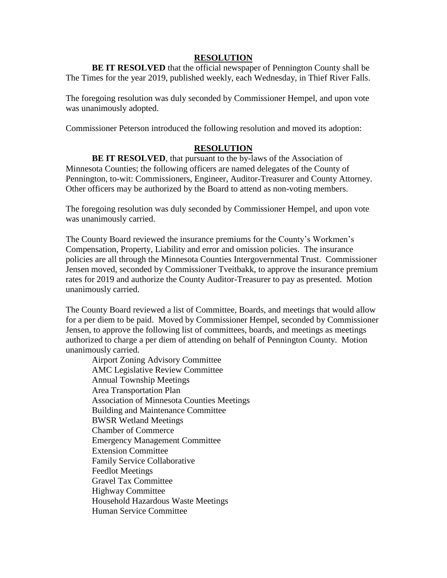#### **RESOLUTION**

**BE IT RESOLVED** that the official newspaper of Pennington County shall be The Times for the year 2019, published weekly, each Wednesday, in Thief River Falls.

The foregoing resolution was duly seconded by Commissioner Hempel, and upon vote was unanimously adopted.

Commissioner Peterson introduced the following resolution and moved its adoption:

# **RESOLUTION**

**BE IT RESOLVED**, that pursuant to the by-laws of the Association of Minnesota Counties; the following officers are named delegates of the County of Pennington, to-wit: Commissioners, Engineer, Auditor-Treasurer and County Attorney. Other officers may be authorized by the Board to attend as non-voting members.

The foregoing resolution was duly seconded by Commissioner Hempel, and upon vote was unanimously carried.

The County Board reviewed the insurance premiums for the County's Workmen's Compensation, Property, Liability and error and omission policies. The insurance policies are all through the Minnesota Counties Intergovernmental Trust. Commissioner Jensen moved, seconded by Commissioner Tveitbakk, to approve the insurance premium rates for 2019 and authorize the County Auditor-Treasurer to pay as presented. Motion unanimously carried.

The County Board reviewed a list of Committee, Boards, and meetings that would allow for a per diem to be paid. Moved by Commissioner Hempel, seconded by Commissioner Jensen, to approve the following list of committees, boards, and meetings as meetings authorized to charge a per diem of attending on behalf of Pennington County. Motion unanimously carried.

Airport Zoning Advisory Committee AMC Legislative Review Committee Annual Township Meetings Area Transportation Plan Association of Minnesota Counties Meetings Building and Maintenance Committee BWSR Wetland Meetings Chamber of Commerce Emergency Management Committee Extension Committee Family Service Collaborative Feedlot Meetings Gravel Tax Committee Highway Committee Household Hazardous Waste Meetings Human Service Committee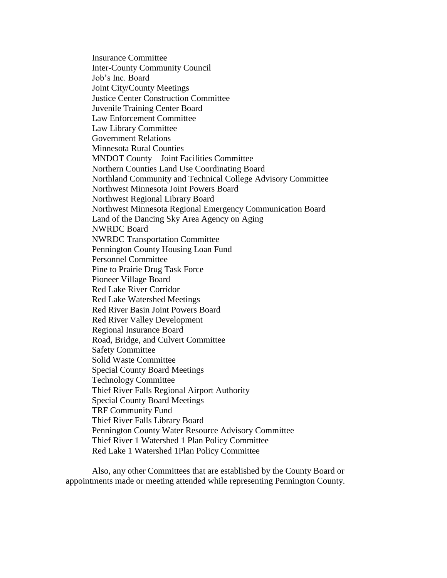Insurance Committee Inter-County Community Council Job's Inc. Board Joint City/County Meetings Justice Center Construction Committee Juvenile Training Center Board Law Enforcement Committee Law Library Committee Government Relations Minnesota Rural Counties MNDOT County – Joint Facilities Committee Northern Counties Land Use Coordinating Board Northland Community and Technical College Advisory Committee Northwest Minnesota Joint Powers Board Northwest Regional Library Board Northwest Minnesota Regional Emergency Communication Board Land of the Dancing Sky Area Agency on Aging NWRDC Board NWRDC Transportation Committee Pennington County Housing Loan Fund Personnel Committee Pine to Prairie Drug Task Force Pioneer Village Board Red Lake River Corridor Red Lake Watershed Meetings Red River Basin Joint Powers Board Red River Valley Development Regional Insurance Board Road, Bridge, and Culvert Committee Safety Committee Solid Waste Committee Special County Board Meetings Technology Committee Thief River Falls Regional Airport Authority Special County Board Meetings TRF Community Fund Thief River Falls Library Board Pennington County Water Resource Advisory Committee Thief River 1 Watershed 1 Plan Policy Committee Red Lake 1 Watershed 1Plan Policy Committee

Also, any other Committees that are established by the County Board or appointments made or meeting attended while representing Pennington County.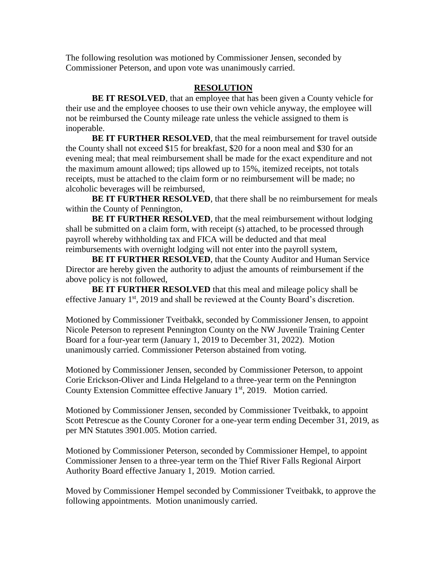The following resolution was motioned by Commissioner Jensen, seconded by Commissioner Peterson, and upon vote was unanimously carried.

#### **RESOLUTION**

**BE IT RESOLVED**, that an employee that has been given a County vehicle for their use and the employee chooses to use their own vehicle anyway, the employee will not be reimbursed the County mileage rate unless the vehicle assigned to them is inoperable.

**BE IT FURTHER RESOLVED**, that the meal reimbursement for travel outside the County shall not exceed \$15 for breakfast, \$20 for a noon meal and \$30 for an evening meal; that meal reimbursement shall be made for the exact expenditure and not the maximum amount allowed; tips allowed up to 15%, itemized receipts, not totals receipts, must be attached to the claim form or no reimbursement will be made; no alcoholic beverages will be reimbursed,

**BE IT FURTHER RESOLVED**, that there shall be no reimbursement for meals within the County of Pennington,

**BE IT FURTHER RESOLVED**, that the meal reimbursement without lodging shall be submitted on a claim form, with receipt (s) attached, to be processed through payroll whereby withholding tax and FICA will be deducted and that meal reimbursements with overnight lodging will not enter into the payroll system,

**BE IT FURTHER RESOLVED**, that the County Auditor and Human Service Director are hereby given the authority to adjust the amounts of reimbursement if the above policy is not followed,

**BE IT FURTHER RESOLVED** that this meal and mileage policy shall be effective January 1<sup>st</sup>, 2019 and shall be reviewed at the County Board's discretion.

Motioned by Commissioner Tveitbakk, seconded by Commissioner Jensen, to appoint Nicole Peterson to represent Pennington County on the NW Juvenile Training Center Board for a four-year term (January 1, 2019 to December 31, 2022). Motion unanimously carried. Commissioner Peterson abstained from voting.

Motioned by Commissioner Jensen, seconded by Commissioner Peterson, to appoint Corie Erickson-Oliver and Linda Helgeland to a three-year term on the Pennington County Extension Committee effective January 1<sup>st</sup>, 2019. Motion carried.

Motioned by Commissioner Jensen, seconded by Commissioner Tveitbakk, to appoint Scott Petrescue as the County Coroner for a one-year term ending December 31, 2019, as per MN Statutes 3901.005. Motion carried.

Motioned by Commissioner Peterson, seconded by Commissioner Hempel, to appoint Commissioner Jensen to a three-year term on the Thief River Falls Regional Airport Authority Board effective January 1, 2019. Motion carried.

Moved by Commissioner Hempel seconded by Commissioner Tveitbakk, to approve the following appointments. Motion unanimously carried.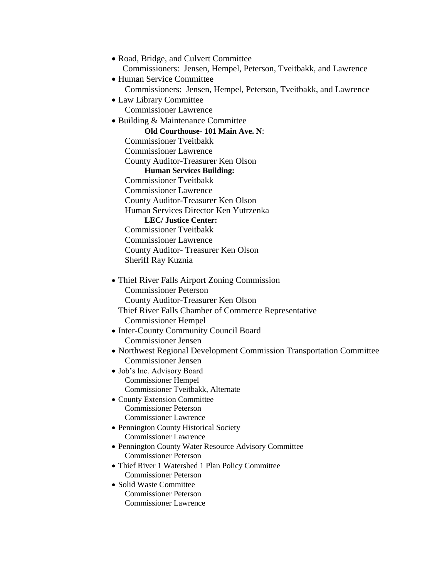| • Road, Bridge, and Culvert Committee                                |
|----------------------------------------------------------------------|
| Commissioners: Jensen, Hempel, Peterson, Tveitbakk, and Lawrence     |
| • Human Service Committee                                            |
| Commissioners: Jensen, Hempel, Peterson, Tveitbakk, and Lawrence     |
| • Law Library Committee                                              |
| <b>Commissioner Lawrence</b>                                         |
| · Building & Maintenance Committee                                   |
| Old Courthouse-101 Main Ave. N:                                      |
| <b>Commissioner Tyeitbakk</b>                                        |
| <b>Commissioner Lawrence</b>                                         |
| County Auditor-Treasurer Ken Olson                                   |
| <b>Human Services Building:</b>                                      |
| <b>Commissioner Tyeitbakk</b>                                        |
| <b>Commissioner Lawrence</b>                                         |
| County Auditor-Treasurer Ken Olson                                   |
| Human Services Director Ken Yutrzenka                                |
| <b>LEC/Justice Center:</b><br><b>Commissioner Tyeitbakk</b>          |
|                                                                      |
| <b>Commissioner Lawrence</b>                                         |
| County Auditor-Treasurer Ken Olson                                   |
| Sheriff Ray Kuznia                                                   |
| • Thief River Falls Airport Zoning Commission                        |
| <b>Commissioner Peterson</b>                                         |
| County Auditor-Treasurer Ken Olson                                   |
| Thief River Falls Chamber of Commerce Representative                 |
| <b>Commissioner Hempel</b>                                           |
| • Inter-County Community Council Board                               |
| <b>Commissioner Jensen</b>                                           |
| • Northwest Regional Development Commission Transportation Committee |
| Commissioner Jensen                                                  |
| · Job's Inc. Advisory Board                                          |
| <b>Commissioner Hempel</b>                                           |
| Commissioner Tveitbakk, Alternate                                    |
| • County Extension Committee                                         |
| <b>Commissioner Peterson</b>                                         |
| <b>Commissioner Lawrence</b>                                         |
| • Pennington County Historical Society                               |
| <b>Commissioner Lawrence</b>                                         |
| • Pennington County Water Resource Advisory Committee                |
| <b>Commissioner Peterson</b>                                         |
| • Thief River 1 Watershed 1 Plan Policy Committee                    |
| <b>Commissioner Peterson</b>                                         |
| • Solid Waste Committee<br><b>Commissioner Peterson</b>              |
| <b>Commissioner Lawrence</b>                                         |
|                                                                      |
|                                                                      |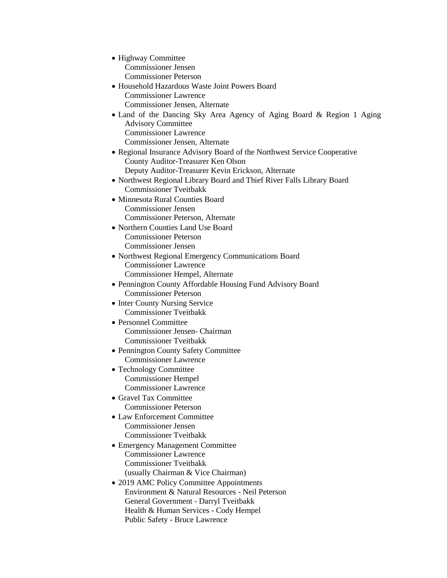- Highway Committee Commissioner Jensen Commissioner Peterson
- Household Hazardous Waste Joint Powers Board Commissioner Lawrence Commissioner Jensen, Alternate
- Land of the Dancing Sky Area Agency of Aging Board & Region 1 Aging Advisory Committee Commissioner Lawrence Commissioner Jensen, Alternate
- Regional Insurance Advisory Board of the Northwest Service Cooperative County Auditor-Treasurer Ken Olson Deputy Auditor-Treasurer Kevin Erickson, Alternate
- Northwest Regional Library Board and Thief River Falls Library Board Commissioner Tveitbakk
- Minnesota Rural Counties Board Commissioner Jensen Commissioner Peterson, Alternate
- Northern Counties Land Use Board Commissioner Peterson Commissioner Jensen
- Northwest Regional Emergency Communications Board Commissioner Lawrence Commissioner Hempel, Alternate
- Pennington County Affordable Housing Fund Advisory Board Commissioner Peterson
- Inter County Nursing Service Commissioner Tveitbakk
- Personnel Committee Commissioner Jensen- Chairman Commissioner Tveitbakk
- Pennington County Safety Committee Commissioner Lawrence
- Technology Committee Commissioner Hempel Commissioner Lawrence
- Gravel Tax Committee Commissioner Peterson
- Law Enforcement Committee Commissioner Jensen Commissioner Tveitbakk
- Emergency Management Committee Commissioner Lawrence Commissioner Tveitbakk (usually Chairman & Vice Chairman)
- 2019 AMC Policy Committee Appointments Environment & Natural Resources - Neil Peterson General Government - Darryl Tveitbakk Health & Human Services - Cody Hempel Public Safety - Bruce Lawrence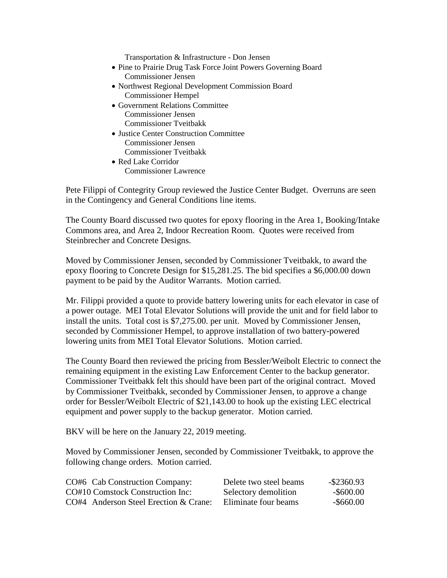Transportation & Infrastructure - Don Jensen

- Pine to Prairie Drug Task Force Joint Powers Governing Board Commissioner Jensen
- Northwest Regional Development Commission Board Commissioner Hempel
- Government Relations Committee Commissioner Jensen Commissioner Tveitbakk
- Justice Center Construction Committee Commissioner Jensen Commissioner Tveitbakk
- Red Lake Corridor Commissioner Lawrence

Pete Filippi of Contegrity Group reviewed the Justice Center Budget. Overruns are seen in the Contingency and General Conditions line items.

The County Board discussed two quotes for epoxy flooring in the Area 1, Booking/Intake Commons area, and Area 2, Indoor Recreation Room. Quotes were received from Steinbrecher and Concrete Designs.

Moved by Commissioner Jensen, seconded by Commissioner Tveitbakk, to award the epoxy flooring to Concrete Design for \$15,281.25. The bid specifies a \$6,000.00 down payment to be paid by the Auditor Warrants. Motion carried.

Mr. Filippi provided a quote to provide battery lowering units for each elevator in case of a power outage. MEI Total Elevator Solutions will provide the unit and for field labor to install the units. Total cost is \$7,275.00. per unit. Moved by Commissioner Jensen, seconded by Commissioner Hempel, to approve installation of two battery-powered lowering units from MEI Total Elevator Solutions. Motion carried.

The County Board then reviewed the pricing from Bessler/Weibolt Electric to connect the remaining equipment in the existing Law Enforcement Center to the backup generator. Commissioner Tveitbakk felt this should have been part of the original contract. Moved by Commissioner Tveitbakk, seconded by Commissioner Jensen, to approve a change order for Bessler/Weibolt Electric of \$21,143.00 to hook up the existing LEC electrical equipment and power supply to the backup generator. Motion carried.

BKV will be here on the January 22, 2019 meeting.

Moved by Commissioner Jensen, seconded by Commissioner Tveitbakk, to approve the following change orders. Motion carried.

| CO#6 Cab Construction Company:        | Delete two steel beams | -\$2360.93 |
|---------------------------------------|------------------------|------------|
| CO#10 Comstock Construction Inc:      | Selectory demolition   | -\$600.00  |
| CO#4 Anderson Steel Erection & Crane: | Eliminate four beams   | -\$660.00  |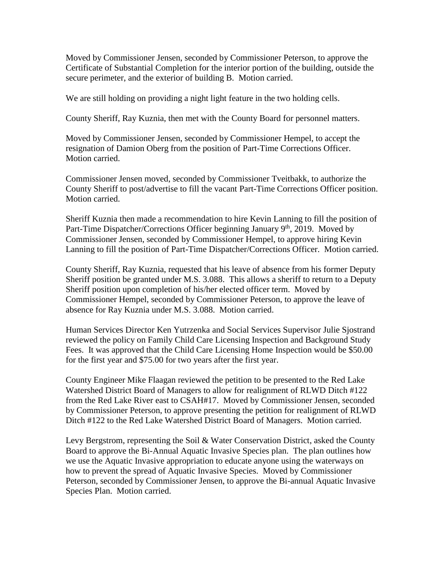Moved by Commissioner Jensen, seconded by Commissioner Peterson, to approve the Certificate of Substantial Completion for the interior portion of the building, outside the secure perimeter, and the exterior of building B. Motion carried.

We are still holding on providing a night light feature in the two holding cells.

County Sheriff, Ray Kuznia, then met with the County Board for personnel matters.

Moved by Commissioner Jensen, seconded by Commissioner Hempel, to accept the resignation of Damion Oberg from the position of Part-Time Corrections Officer. Motion carried.

Commissioner Jensen moved, seconded by Commissioner Tveitbakk, to authorize the County Sheriff to post/advertise to fill the vacant Part-Time Corrections Officer position. Motion carried.

Sheriff Kuznia then made a recommendation to hire Kevin Lanning to fill the position of Part-Time Dispatcher/Corrections Officer beginning January 9<sup>th</sup>, 2019. Moved by Commissioner Jensen, seconded by Commissioner Hempel, to approve hiring Kevin Lanning to fill the position of Part-Time Dispatcher/Corrections Officer. Motion carried.

County Sheriff, Ray Kuznia, requested that his leave of absence from his former Deputy Sheriff position be granted under M.S. 3.088. This allows a sheriff to return to a Deputy Sheriff position upon completion of his/her elected officer term. Moved by Commissioner Hempel, seconded by Commissioner Peterson, to approve the leave of absence for Ray Kuznia under M.S. 3.088. Motion carried.

Human Services Director Ken Yutrzenka and Social Services Supervisor Julie Sjostrand reviewed the policy on Family Child Care Licensing Inspection and Background Study Fees. It was approved that the Child Care Licensing Home Inspection would be \$50.00 for the first year and \$75.00 for two years after the first year.

County Engineer Mike Flaagan reviewed the petition to be presented to the Red Lake Watershed District Board of Managers to allow for realignment of RLWD Ditch #122 from the Red Lake River east to CSAH#17. Moved by Commissioner Jensen, seconded by Commissioner Peterson, to approve presenting the petition for realignment of RLWD Ditch #122 to the Red Lake Watershed District Board of Managers. Motion carried.

Levy Bergstrom, representing the Soil & Water Conservation District, asked the County Board to approve the Bi-Annual Aquatic Invasive Species plan. The plan outlines how we use the Aquatic Invasive appropriation to educate anyone using the waterways on how to prevent the spread of Aquatic Invasive Species. Moved by Commissioner Peterson, seconded by Commissioner Jensen, to approve the Bi-annual Aquatic Invasive Species Plan. Motion carried.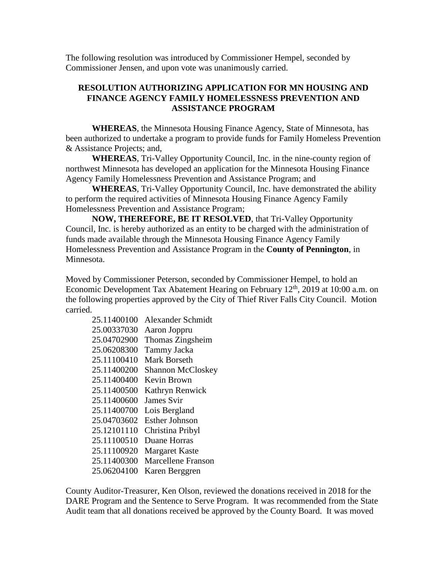The following resolution was introduced by Commissioner Hempel, seconded by Commissioner Jensen, and upon vote was unanimously carried.

# **RESOLUTION AUTHORIZING APPLICATION FOR MN HOUSING AND FINANCE AGENCY FAMILY HOMELESSNESS PREVENTION AND ASSISTANCE PROGRAM**

**WHEREAS**, the Minnesota Housing Finance Agency, State of Minnesota, has been authorized to undertake a program to provide funds for Family Homeless Prevention & Assistance Projects; and,

**WHEREAS**, Tri-Valley Opportunity Council, Inc. in the nine-county region of northwest Minnesota has developed an application for the Minnesota Housing Finance Agency Family Homelessness Prevention and Assistance Program; and

**WHEREAS**, Tri-Valley Opportunity Council, Inc. have demonstrated the ability to perform the required activities of Minnesota Housing Finance Agency Family Homelessness Prevention and Assistance Program;

**NOW, THEREFORE, BE IT RESOLVED**, that Tri-Valley Opportunity Council, Inc. is hereby authorized as an entity to be charged with the administration of funds made available through the Minnesota Housing Finance Agency Family Homelessness Prevention and Assistance Program in the **County of Pennington**, in Minnesota.

Moved by Commissioner Peterson, seconded by Commissioner Hempel, to hold an Economic Development Tax Abatement Hearing on February 12<sup>th</sup>, 2019 at 10:00 a.m. on the following properties approved by the City of Thief River Falls City Council. Motion carried.

| 25.11400100 | <b>Alexander Schmidt</b>  |
|-------------|---------------------------|
| 25.00337030 | Aaron Joppru              |
| 25.04702900 | Thomas Zingsheim          |
| 25.06208300 | Tammy Jacka               |
| 25.11100410 | Mark Borseth              |
| 25.11400200 | <b>Shannon McCloskey</b>  |
| 25.11400400 | Kevin Brown               |
| 25.11400500 | Kathryn Renwick           |
| 25.11400600 | James Svir                |
| 25.11400700 | Lois Bergland             |
| 25.04703602 | Esther Johnson            |
| 25.12101110 | Christina Pribyl          |
| 25.11100510 | Duane Horras              |
| 25.11100920 | <b>Margaret Kaste</b>     |
| 25.11400300 | <b>Marcellene Franson</b> |
| 25.06204100 | Karen Berggren            |

County Auditor-Treasurer, Ken Olson, reviewed the donations received in 2018 for the DARE Program and the Sentence to Serve Program. It was recommended from the State Audit team that all donations received be approved by the County Board. It was moved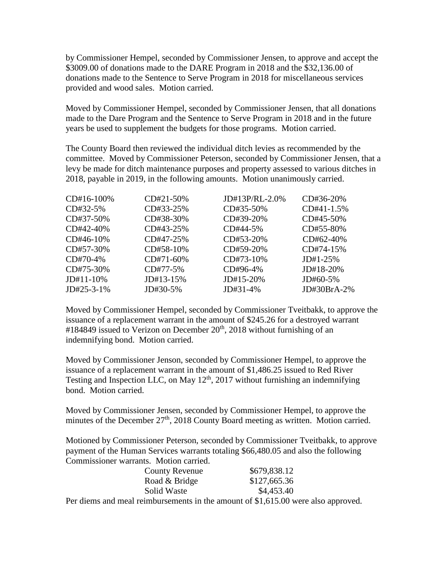by Commissioner Hempel, seconded by Commissioner Jensen, to approve and accept the \$3009.00 of donations made to the DARE Program in 2018 and the \$32,136.00 of donations made to the Sentence to Serve Program in 2018 for miscellaneous services provided and wood sales. Motion carried.

Moved by Commissioner Hempel, seconded by Commissioner Jensen, that all donations made to the Dare Program and the Sentence to Serve Program in 2018 and in the future years be used to supplement the budgets for those programs. Motion carried.

The County Board then reviewed the individual ditch levies as recommended by the committee. Moved by Commissioner Peterson, seconded by Commissioner Jensen, that a levy be made for ditch maintenance purposes and property assessed to various ditches in 2018, payable in 2019, in the following amounts. Motion unanimously carried.

| CD#16-100\%  | $CD#21-50\%$ | $JD#13P/RI - 2.0\%$ | CD#36-20%     |
|--------------|--------------|---------------------|---------------|
| $CD#32-5%$   | CD#33-25%    | $CD#35-50\%$        | $CD#41-1.5%$  |
| $CD#37-50\%$ | CD#38-30%    | CD#39-20%           | CD#45-50%     |
| $CD#42-40%$  | CD#43-25%    | CD#44-5%            | $CD#55-80%$   |
| $CD#46-10%$  | $CD#47-25%$  | $CD#53-20%$         | $CD#62-40%$   |
| CD#57-30%    | $CD#58-10%$  | $CD#59-20%$         | $CD#74-15%$   |
| $CD#70-4%$   | $CD#71-60\%$ | $CD#73-10\%$        | $JD#1-25\%$   |
| $CD#75-30%$  | CD#77-5%     | CD#96-4%            | $JD#18-20\%$  |
| $JD#11-10\%$ | $JD#13-15%$  | $JD#15-20\%$        | $JD#60-5%$    |
| $JD#25-3-1%$ | JD#30-5%     | JD#31-4%            | $JD#30BrA-2%$ |

Moved by Commissioner Hempel, seconded by Commissioner Tveitbakk, to approve the issuance of a replacement warrant in the amount of \$245.26 for a destroyed warrant #184849 issued to Verizon on December  $20<sup>th</sup>$ , 2018 without furnishing of an indemnifying bond. Motion carried.

Moved by Commissioner Jenson, seconded by Commissioner Hempel, to approve the issuance of a replacement warrant in the amount of \$1,486.25 issued to Red River Testing and Inspection LLC, on May  $12<sup>th</sup>$ , 2017 without furnishing an indemnifying bond. Motion carried.

Moved by Commissioner Jensen, seconded by Commissioner Hempel, to approve the minutes of the December  $27<sup>th</sup>$ , 2018 County Board meeting as written. Motion carried.

Motioned by Commissioner Peterson, seconded by Commissioner Tveitbakk, to approve payment of the Human Services warrants totaling \$66,480.05 and also the following Commissioner warrants. Motion carried.

|    |  | <b>County Revenue</b>                                                                                                 | \$679,838.12                                                            |  |
|----|--|-----------------------------------------------------------------------------------------------------------------------|-------------------------------------------------------------------------|--|
|    |  | Road & Bridge                                                                                                         | \$127,665.36                                                            |  |
|    |  | Solid Waste                                                                                                           | \$4,453.40                                                              |  |
| n. |  | $\mathbf{1}$ , $\mathbf{1}$ , $\mathbf{1}$ , $\mathbf{1}$ , $\mathbf{1}$ , $\mathbf{1}$ , $\mathbf{1}$ , $\mathbf{1}$ | $\mathcal{L}$ c c c $\mathcal{L}$ c c c $\mathcal{L}$ c c $\mathcal{L}$ |  |

Per diems and meal reimbursements in the amount of \$1,615.00 were also approved.